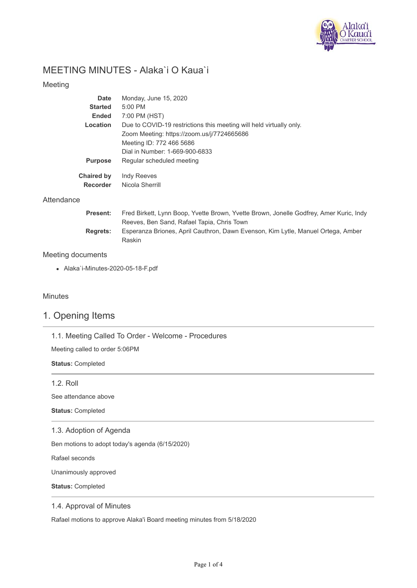

## MEETING MINUTES - Alaka`i O Kaua`i

#### Meeting

| Date              | Monday, June 15, 2020                                               |
|-------------------|---------------------------------------------------------------------|
| <b>Started</b>    | $5:00$ PM                                                           |
| <b>Ended</b>      | 7:00 PM (HST)                                                       |
| Location          | Due to COVID-19 restrictions this meeting will held virtually only. |
|                   | Zoom Meeting: https://zoom.us/j/7724665686                          |
|                   | Meeting ID: 772 466 5686                                            |
|                   | Dial in Number: 1-669-900-6833                                      |
| <b>Purpose</b>    | Regular scheduled meeting                                           |
| <b>Chaired by</b> | <b>Indy Reeves</b>                                                  |
| Recorder          | Nicola Sherrill                                                     |

#### **Attendance**

| <b>Present:</b> | Fred Birkett, Lynn Boop, Yvette Brown, Yvette Brown, Jonelle Godfrey, Amer Kuric, Indy |
|-----------------|----------------------------------------------------------------------------------------|
|                 | Reeves, Ben Sand, Rafael Tapia, Chris Town                                             |
| <b>Rearets:</b> | Esperanza Briones, April Cauthron, Dawn Evenson, Kim Lytle, Manuel Ortega, Amber       |
|                 | <b>Raskin</b>                                                                          |

#### Meeting documents

Alaka`i-Minutes-2020-05-18-F.pdf

#### Minutes

## 1. Opening Items

1.1. Meeting Called To Order - Welcome - Procedures

Meeting called to order 5:06PM

**Status:** Completed

1.2. Roll

See attendance above

**Status:** Completed

#### 1.3. Adoption of Agenda

Ben motions to adopt today's agenda (6/15/2020)

Rafael seconds

Unanimously approved

**Status:** Completed

#### 1.4. Approval of Minutes

Rafael motions to approve Alaka'i Board meeting minutes from 5/18/2020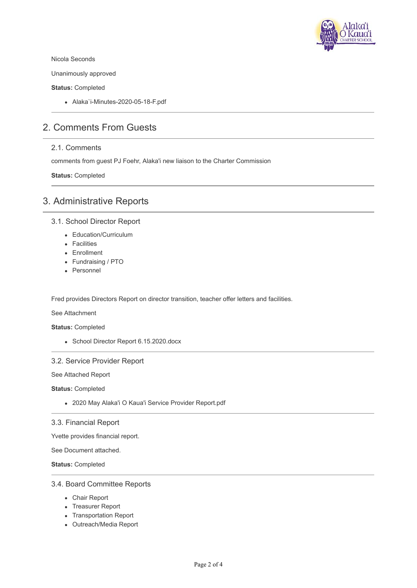

Nicola Seconds

Unanimously approved

**Status:** Completed

Alaka`i-Minutes-2020-05-18-F.pdf

## 2. Comments From Guests

#### 2.1. Comments

comments from guest PJ Foehr, Alaka'i new liaison to the Charter Commission

**Status:** Completed

## 3. Administrative Reports

#### 3.1. School Director Report

- Education/Curriculum
- Facilities
- Enrollment
- Fundraising / PTO
- Personnel

Fred provides Directors Report on director transition, teacher offer letters and facilities.

See Attachment

**Status:** Completed

• School Director Report 6.15.2020.docx

#### 3.2. Service Provider Report

See Attached Report

**Status:** Completed

2020 May Alaka'i O Kaua'i Service Provider Report.pdf

#### 3.3. Financial Report

Yvette provides financial report.

See Document attached.

**Status:** Completed

#### 3.4. Board Committee Reports

- Chair Report
- Treasurer Report
- Transportation Report
- Outreach/Media Report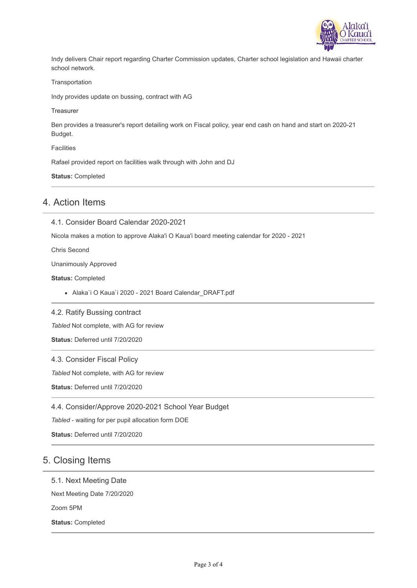

Indy delivers Chair report regarding Charter Commission updates, Charter school legislation and Hawaii charter school network.

#### **Transportation**

Indy provides update on bussing, contract with AG

**Treasurer** 

Ben provides a treasurer's report detailing work on Fiscal policy, year end cash on hand and start on 2020-21 Budget.

**Facilities** 

Rafael provided report on facilities walk through with John and DJ

**Status:** Completed

#### 4. Action Items

4.1. Consider Board Calendar 2020-2021

Nicola makes a motion to approve Alaka'i O Kaua'i board meeting calendar for 2020 - 2021

Chris Second

Unanimously Approved

**Status:** Completed

Alaka`i O Kaua`i 2020 - 2021 Board Calendar\_DRAFT.pdf

4.2. Ratify Bussing contract

*Tabled* Not complete, with AG for review

**Status:** Deferred until 7/20/2020

#### 4.3. Consider Fiscal Policy

*Tabled* Not complete, with AG for review

**Status:** Deferred until 7/20/2020

4.4. Consider/Approve 2020-2021 School Year Budget

*Tabled* - waiting for per pupil allocation form DOE

**Status:** Deferred until 7/20/2020

## 5. Closing Items

#### 5.1. Next Meeting Date

Next Meeting Date 7/20/2020

Zoom 5PM

**Status:** Completed